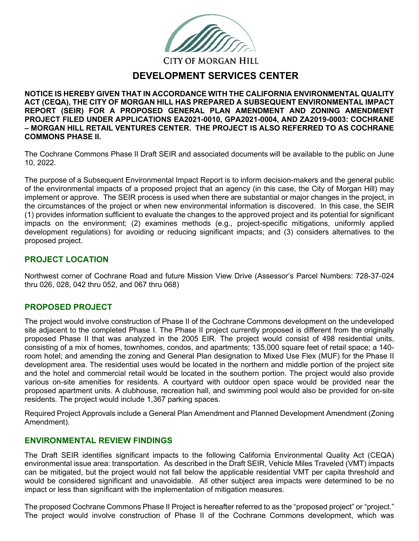**CITY OF MORGAN HILL** 

# **DEVELOPMENT SERVICES CENTER**

**NOTICE IS HEREBY GIVEN THAT IN ACCORDANCE WITH THE CALIFORNIA ENVIRONMENTAL QUALITY ACT (CEQA), THE CITY OF MORGAN HILL HAS PREPARED A SUBSEQUENT ENVIRONMENTAL IMPACT REPORT (SEIR) FOR A PROPOSED GENERAL PLAN AMENDMENT AND ZONING AMENDMENT PROJECT FILED UNDER APPLICATIONS EA2021-0010, GPA2021-0004, AND ZA2019-0003: COCHRANE – MORGAN HILL RETAIL VENTURES CENTER. THE PROJECT IS ALSO REFERRED TO AS COCHRANE COMMONS PHASE II.**

The Cochrane Commons Phase II Draft SEIR and associated documents will be available to the public on June 10, 2022.

The purpose of a Subsequent Environmental Impact Report is to inform decision-makers and the general public of the environmental impacts of a proposed project that an agency (in this case, the City of Morgan Hill) may implement or approve. The SEIR process is used when there are substantial or major changes in the project, in the circumstances of the project or when new environmental information is discovered. In this case, the SEIR (1) provides information sufficient to evaluate the changes to the approved project and its potential for significant impacts on the environment; (2) examines methods (e.g., project-specific mitigations, uniformly applied development regulations) for avoiding or reducing significant impacts; and (3) considers alternatives to the proposed project.

#### **PROJECT LOCATION**

Northwest corner of Cochrane Road and future Mission View Drive (Assessor's Parcel Numbers: 728-37-024 thru 026, 028, 042 thru 052, and 067 thru 068)

## **PROPOSED PROJECT**

The project would involve construction of Phase II of the Cochrane Commons development on the undeveloped site adjacent to the completed Phase I. The Phase II project currently proposed is different from the originally proposed Phase II that was analyzed in the 2005 EIR. The project would consist of 498 residential units, consisting of a mix of homes, townhomes, condos, and apartments; 135,000 square feet of retail space; a 140 room hotel; and amending the zoning and General Plan designation to Mixed Use Flex (MUF) for the Phase II development area. The residential uses would be located in the northern and middle portion of the project site and the hotel and commercial retail would be located in the southern portion. The project would also provide various on-site amenities for residents. A courtyard with outdoor open space would be provided near the proposed apartment units. A clubhouse, recreation hall, and swimming pool would also be provided for on-site residents. The project would include 1,367 parking spaces.

Required Project Approvals include a General Plan Amendment and Planned Development Amendment (Zoning Amendment).

## **ENVIRONMENTAL REVIEW FINDINGS**

The Draft SEIR identifies significant impacts to the following California Environmental Quality Act (CEQA) environmental issue area: transportation. As described in the Draft SEIR, Vehicle Miles Traveled (VMT) impacts can be mitigated, but the project would not fall below the applicable residential VMT per capita threshold and would be considered significant and unavoidable. All other subject area impacts were determined to be no impact or less than significant with the implementation of mitigation measures.

The proposed Cochrane Commons Phase II Project is hereafter referred to as the "proposed project" or "project." The project would involve construction of Phase II of the Cochrane Commons development, which was